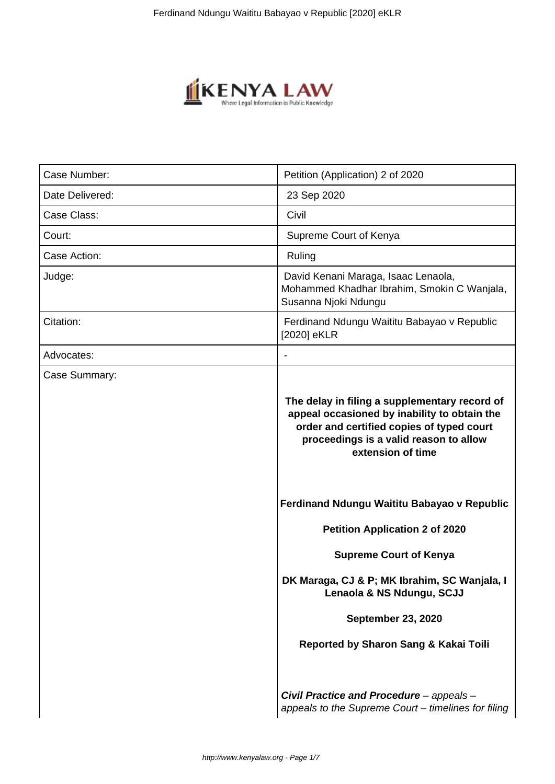

| Case Number:    | Petition (Application) 2 of 2020                                                                                                                                                                          |
|-----------------|-----------------------------------------------------------------------------------------------------------------------------------------------------------------------------------------------------------|
| Date Delivered: | 23 Sep 2020                                                                                                                                                                                               |
| Case Class:     | Civil                                                                                                                                                                                                     |
| Court:          | Supreme Court of Kenya                                                                                                                                                                                    |
| Case Action:    | Ruling                                                                                                                                                                                                    |
| Judge:          | David Kenani Maraga, Isaac Lenaola,<br>Mohammed Khadhar Ibrahim, Smokin C Wanjala,<br>Susanna Njoki Ndungu                                                                                                |
| Citation:       | Ferdinand Ndungu Waititu Babayao v Republic<br>[2020] eKLR                                                                                                                                                |
| Advocates:      |                                                                                                                                                                                                           |
| Case Summary:   | The delay in filing a supplementary record of<br>appeal occasioned by inability to obtain the<br>order and certified copies of typed court<br>proceedings is a valid reason to allow<br>extension of time |
|                 | Ferdinand Ndungu Waititu Babayao v Republic                                                                                                                                                               |
|                 | <b>Petition Application 2 of 2020</b>                                                                                                                                                                     |
|                 | <b>Supreme Court of Kenya</b>                                                                                                                                                                             |
|                 | DK Maraga, CJ & P; MK Ibrahim, SC Wanjala, I<br>Lenaola & NS Ndungu, SCJJ                                                                                                                                 |
|                 | <b>September 23, 2020</b>                                                                                                                                                                                 |
|                 | Reported by Sharon Sang & Kakai Toili                                                                                                                                                                     |
|                 | Civil Practice and Procedure - appeals -<br>appeals to the Supreme Court - timelines for filing                                                                                                           |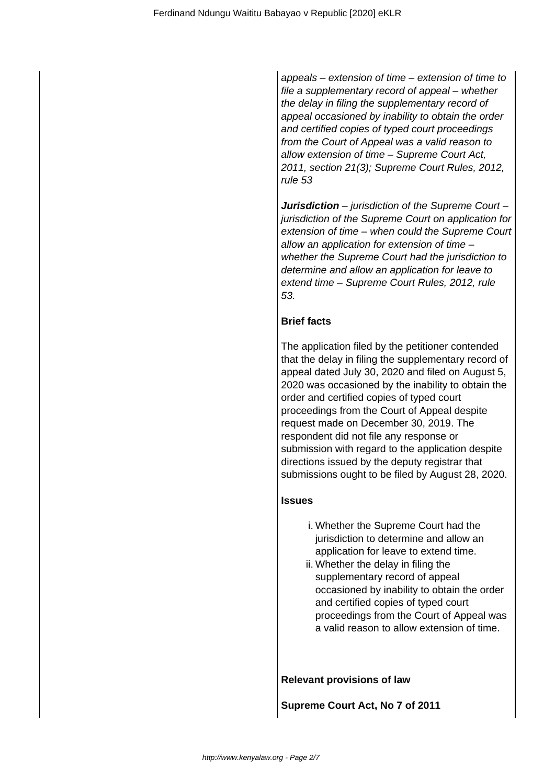appeals – extension of time – extension of time to file a supplementary record of appeal – whether the delay in filing the supplementary record of appeal occasioned by inability to obtain the order and certified copies of typed court proceedings from the Court of Appeal was a valid reason to allow extension of time – Supreme Court Act, 2011, section 21(3); Supreme Court Rules, 2012, rule 53

**Jurisdiction** – jurisdiction of the Supreme Court – jurisdiction of the Supreme Court on application for extension of time – when could the Supreme Court allow an application for extension of time – whether the Supreme Court had the jurisdiction to determine and allow an application for leave to extend time – Supreme Court Rules, 2012, rule 53.

## **Brief facts**

The application filed by the petitioner contended that the delay in filing the supplementary record of appeal dated July 30, 2020 and filed on August 5, 2020 was occasioned by the inability to obtain the order and certified copies of typed court proceedings from the Court of Appeal despite request made on December 30, 2019. The respondent did not file any response or submission with regard to the application despite directions issued by the deputy registrar that submissions ought to be filed by August 28, 2020.

## **Issues**

- i. Whether the Supreme Court had the jurisdiction to determine and allow an application for leave to extend time.
- ii. Whether the delay in filing the supplementary record of appeal occasioned by inability to obtain the order and certified copies of typed court proceedings from the Court of Appeal was a valid reason to allow extension of time.

**Relevant provisions of law**

**Supreme Court Act, No 7 of 2011**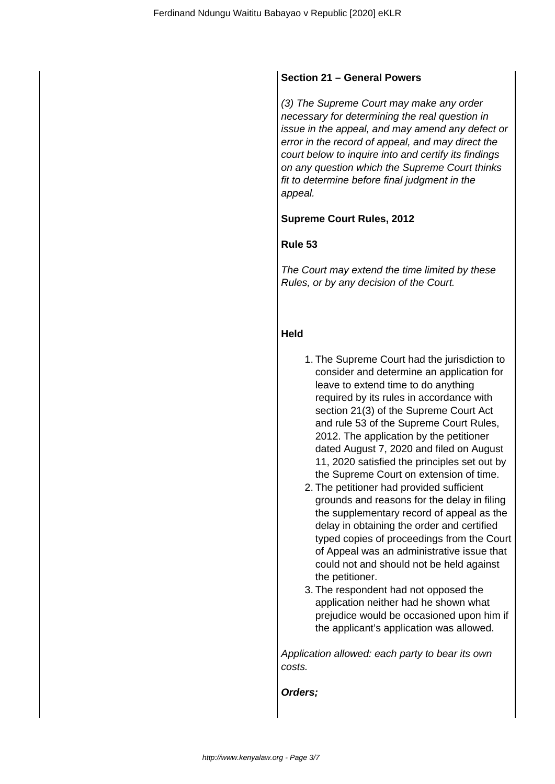## **Section 21 – General Powers**

(3) The Supreme Court may make any order necessary for determining the real question in issue in the appeal, and may amend any defect or error in the record of appeal, and may direct the court below to inquire into and certify its findings on any question which the Supreme Court thinks fit to determine before final judgment in the appeal.

# **Supreme Court Rules, 2012**

## **Rule 53**

The Court may extend the time limited by these Rules, or by any decision of the Court.

## **Held**

- 1. The Supreme Court had the jurisdiction to consider and determine an application for leave to extend time to do anything required by its rules in accordance with section 21(3) of the Supreme Court Act and rule 53 of the Supreme Court Rules, 2012. The application by the petitioner dated August 7, 2020 and filed on August 11, 2020 satisfied the principles set out by the Supreme Court on extension of time.
- 2. The petitioner had provided sufficient grounds and reasons for the delay in filing the supplementary record of appeal as the delay in obtaining the order and certified typed copies of proceedings from the Court of Appeal was an administrative issue that could not and should not be held against the petitioner.
- 3. The respondent had not opposed the application neither had he shown what prejudice would be occasioned upon him if the applicant's application was allowed.

Application allowed: each party to bear its own costs.

**Orders;**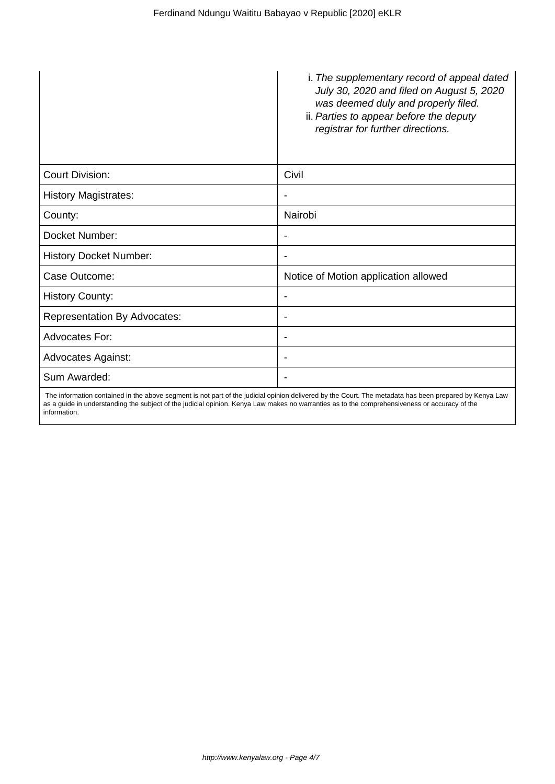|                                     | i. The supplementary record of appeal dated<br>July 30, 2020 and filed on August 5, 2020<br>was deemed duly and properly filed.<br>ii. Parties to appear before the deputy<br>registrar for further directions. |
|-------------------------------------|-----------------------------------------------------------------------------------------------------------------------------------------------------------------------------------------------------------------|
| <b>Court Division:</b>              | Civil                                                                                                                                                                                                           |
| <b>History Magistrates:</b>         |                                                                                                                                                                                                                 |
| County:                             | Nairobi                                                                                                                                                                                                         |
| Docket Number:                      | ۰                                                                                                                                                                                                               |
| <b>History Docket Number:</b>       | ۰                                                                                                                                                                                                               |
| Case Outcome:                       | Notice of Motion application allowed                                                                                                                                                                            |
| <b>History County:</b>              | ۰                                                                                                                                                                                                               |
| <b>Representation By Advocates:</b> | ٠                                                                                                                                                                                                               |
| Advocates For:                      | ٠                                                                                                                                                                                                               |
| <b>Advocates Against:</b>           |                                                                                                                                                                                                                 |
| Sum Awarded:                        |                                                                                                                                                                                                                 |

 The information contained in the above segment is not part of the judicial opinion delivered by the Court. The metadata has been prepared by Kenya Law as a guide in understanding the subject of the judicial opinion. Kenya Law makes no warranties as to the comprehensiveness or accuracy of the information.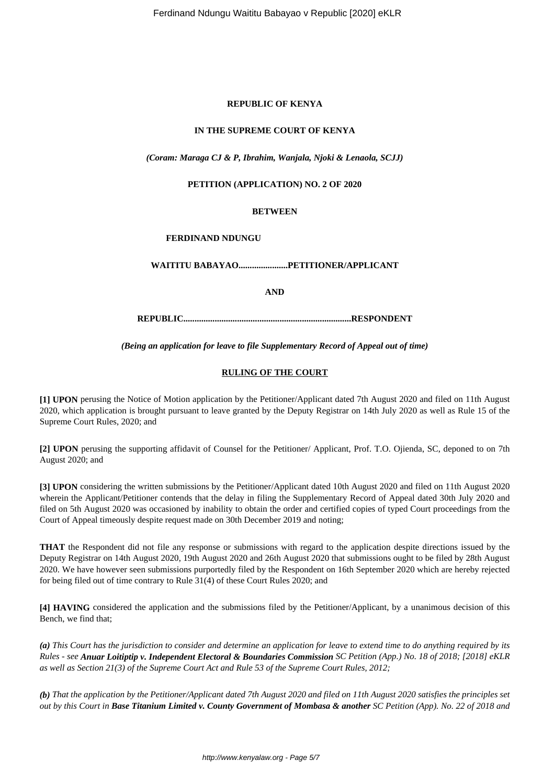#### **REPUBLIC OF KENYA**

#### **IN THE SUPREME COURT OF KENYA**

#### *(Coram: Maraga CJ & P, Ibrahim, Wanjala, Njoki & Lenaola, SCJJ)*

#### **PETITION (APPLICATION) NO. 2 OF 2020**

#### **BETWEEN**

#### **FERDINAND NDUNGU**

**WAITITU BABAYAO......................PETITIONER/APPLICANT**

**AND**

**REPUBLIC...........................................................................RESPONDENT**

*(Being an application for leave to file Supplementary Record of Appeal out of time)*

#### **RULING OF THE COURT**

**[1] UPON** perusing the Notice of Motion application by the Petitioner/Applicant dated 7th August 2020 and filed on 11th August 2020, which application is brought pursuant to leave granted by the Deputy Registrar on 14th July 2020 as well as Rule 15 of the Supreme Court Rules, 2020; and

**[2] UPON** perusing the supporting affidavit of Counsel for the Petitioner/ Applicant, Prof. T.O. Ojienda, SC, deponed to on 7th August 2020; and

**[3] UPON** considering the written submissions by the Petitioner/Applicant dated 10th August 2020 and filed on 11th August 2020 wherein the Applicant/Petitioner contends that the delay in filing the Supplementary Record of Appeal dated 30th July 2020 and filed on 5th August 2020 was occasioned by inability to obtain the order and certified copies of typed Court proceedings from the Court of Appeal timeously despite request made on 30th December 2019 and noting;

**THAT** the Respondent did not file any response or submissions with regard to the application despite directions issued by the Deputy Registrar on 14th August 2020, 19th August 2020 and 26th August 2020 that submissions ought to be filed by 28th August 2020. We have however seen submissions purportedly filed by the Respondent on 16th September 2020 which are hereby rejected for being filed out of time contrary to Rule 31(4) of these Court Rules 2020; and

**[4] HAVING** considered the application and the submissions filed by the Petitioner/Applicant, by a unanimous decision of this Bench, we find that;

*(a) This Court has the jurisdiction to consider and determine an application for leave to extend time to do anything required by its Rules - see Anuar Loitiptip v. Independent Electoral & Boundaries Commission SC Petition (App.) No. 18 of 2018; [2018] eKLR as well as Section 21(3) of the Supreme Court Act and Rule 53 of the Supreme Court Rules, 2012;*

*(b) That the application by the Petitioner/Applicant dated 7th August 2020 and filed on 11th August 2020 satisfies the principles set out by this Court in Base Titanium Limited v. County Government of Mombasa & another SC Petition (App). No. 22 of 2018 and*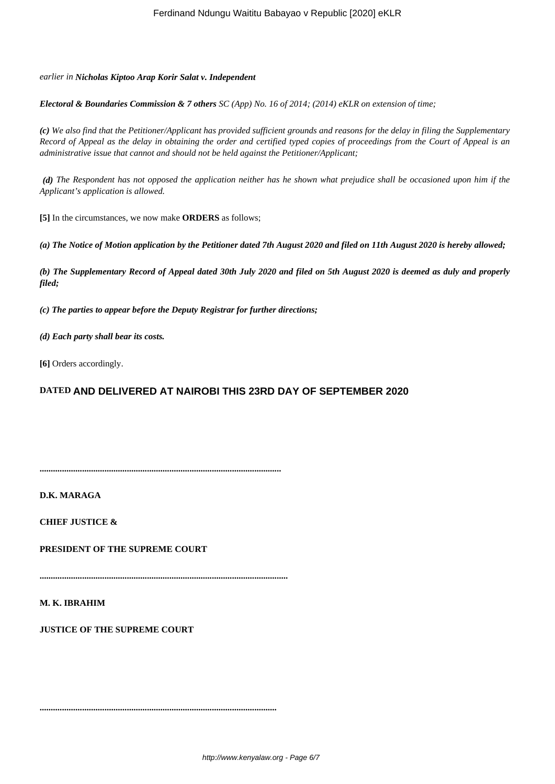#### *earlier in Nicholas Kiptoo Arap Korir Salat v. Independent*

*Electoral & Boundaries Commission & 7 others SC (App) No. 16 of 2014; (2014) eKLR on extension of time;*

*(c) We also find that the Petitioner/Applicant has provided sufficient grounds and reasons for the delay in filing the Supplementary Record of Appeal as the delay in obtaining the order and certified typed copies of proceedings from the Court of Appeal is an administrative issue that cannot and should not be held against the Petitioner/Applicant;*

*(d) The Respondent has not opposed the application neither has he shown what prejudice shall be occasioned upon him if the Applicant's application is allowed.*

**[5]** In the circumstances, we now make **ORDERS** as follows;

*(a) The Notice of Motion application by the Petitioner dated 7th August 2020 and filed on 11th August 2020 is hereby allowed;*

*(b) The Supplementary Record of Appeal dated 30th July 2020 and filed on 5th August 2020 is deemed as duly and properly filed;*

*(c) The parties to appear before the Deputy Registrar for further directions;*

*(d) Each party shall bear its costs.*

**[6]** Orders accordingly.

### **DATED AND DELIVERED AT NAIROBI THIS 23RD DAY OF SEPTEMBER 2020**

**............................................................................................................**

**D.K. MARAGA**

**CHIEF JUSTICE &**

**PRESIDENT OF THE SUPREME COURT**

**...............................................................................................................**

**..........................................................................................................**

**M. K. IBRAHIM**

**JUSTICE OF THE SUPREME COURT**